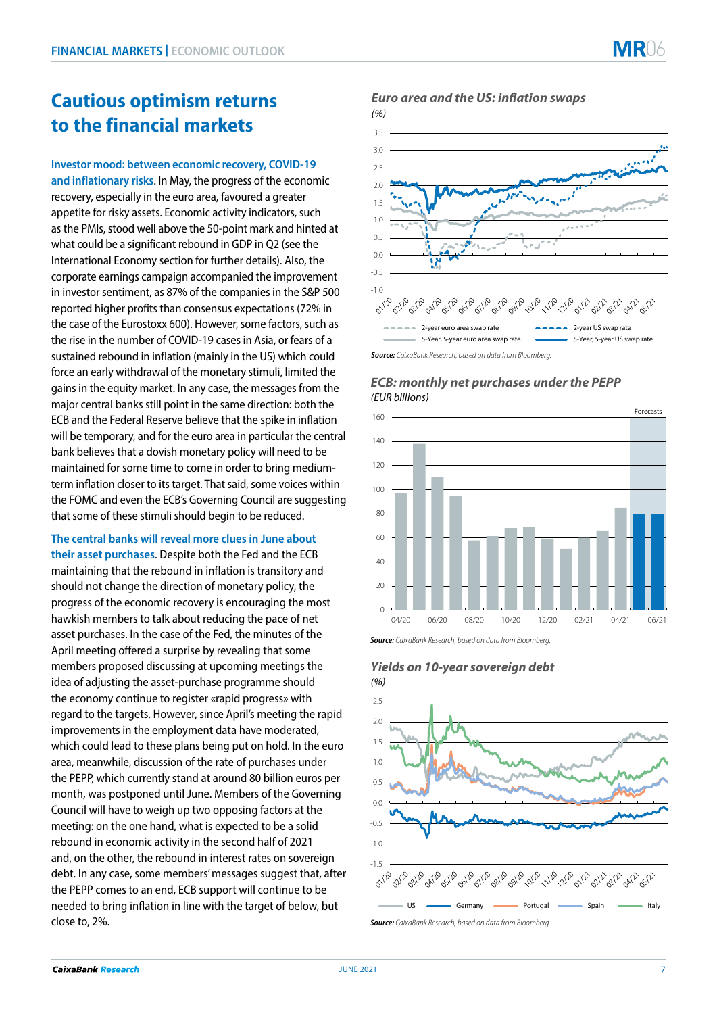# **Cautious optimism returns to the financial markets**

**Investor mood: between economic recovery, COVID-19 and inflationary risks**. In May, the progress of the economic recovery, especially in the euro area, favoured a greater appetite for risky assets. Economic activity indicators, such as the PMIs, stood well above the 50-point mark and hinted at what could be a significant rebound in GDP in Q2 (see the International Economy section for further details). Also, the corporate earnings campaign accompanied the improvement in investor sentiment, as 87% of the companies in the S&P 500 reported higher profits than consensus expectations (72% in the case of the Eurostoxx 600). However, some factors, such as the rise in the number of COVID-19 cases in Asia, or fears of a sustained rebound in inflation (mainly in the US) which could force an early withdrawal of the monetary stimuli, limited the gains in the equity market. In any case, the messages from the major central banks still point in the same direction: both the ECB and the Federal Reserve believe that the spike in inflation will be temporary, and for the euro area in particular the central bank believes that a dovish monetary policy will need to be maintained for some time to come in order to bring mediumterm inflation closer to its target. That said, some voices within the FOMC and even the ECB's Governing Council are suggesting that some of these stimuli should begin to be reduced.

**The central banks will reveal more clues in June about their asset purchases**. Despite both the Fed and the ECB maintaining that the rebound in inflation is transitory and should not change the direction of monetary policy, the progress of the economic recovery is encouraging the most hawkish members to talk about reducing the pace of net asset purchases. In the case of the Fed, the minutes of the April meeting offered a surprise by revealing that some members proposed discussing at upcoming meetings the idea of adjusting the asset-purchase programme should the economy continue to register «rapid progress» with regard to the targets. However, since April's meeting the rapid improvements in the employment data have moderated, which could lead to these plans being put on hold. In the euro area, meanwhile, discussion of the rate of purchases under the PEPP, which currently stand at around 80 billion euros per month, was postponed until June. Members of the Governing Council will have to weigh up two opposing factors at the meeting: on the one hand, what is expected to be a solid rebound in economic activity in the second half of 2021 and, on the other, the rebound in interest rates on sovereign debt. In any case, some members' messages suggest that, after the PEPP comes to an end, ECB support will continue to be needed to bring inflation in line with the target of below, but close to, 2%.

*Euro area and the US: inflation swaps* 



## *ECB: monthly net purchases under the PEPP (EUR billions)*



*Source: CaixaBank Research, based on data from Bloomberg.*



# *Yields on 10-year sovereign debt*